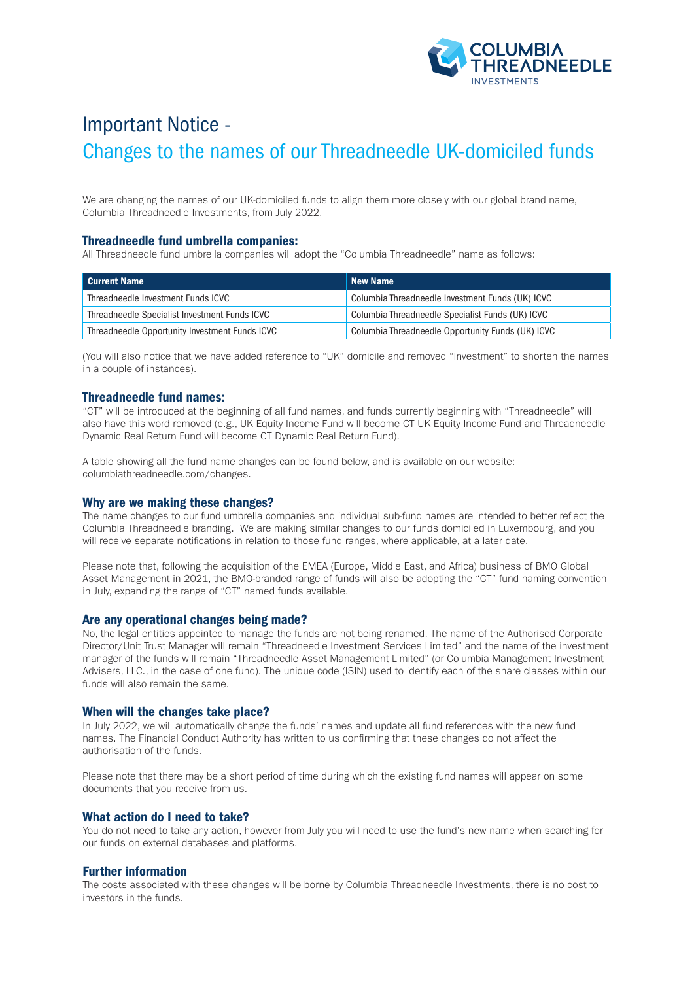

# Important Notice - Changes to the names of our Threadneedle UK-domiciled funds

We are changing the names of our UK-domiciled funds to align them more closely with our global brand name, Columbia Threadneedle Investments, from July 2022.

## Threadneedle fund umbrella companies:

All Threadneedle fund umbrella companies will adopt the "Columbia Threadneedle" name as follows:

| <b>Current Name</b>                            | <b>New Name</b>                                   |
|------------------------------------------------|---------------------------------------------------|
| Threadneedle Investment Funds ICVC             | Columbia Threadneedle Investment Funds (UK) ICVC  |
| Threadneedle Specialist Investment Funds ICVC  | Columbia Threadneedle Specialist Funds (UK) ICVC  |
| Threadneedle Opportunity Investment Funds ICVC | Columbia Threadneedle Opportunity Funds (UK) ICVC |

(You will also notice that we have added reference to "UK" domicile and removed "Investment" to shorten the names in a couple of instances).

## Threadneedle fund names:

"CT" will be introduced at the beginning of all fund names, and funds currently beginning with "Threadneedle" will also have this word removed (e.g., UK Equity Income Fund will become CT UK Equity Income Fund and Threadneedle Dynamic Real Return Fund will become CT Dynamic Real Return Fund).

A table showing all the fund name changes can be found below, and is available on our website: columbiathreadneedle.com/changes.

#### Why are we making these changes?

The name changes to our fund umbrella companies and individual sub-fund names are intended to better reflect the Columbia Threadneedle branding. We are making similar changes to our funds domiciled in Luxembourg, and you will receive separate notifications in relation to those fund ranges, where applicable, at a later date.

Please note that, following the acquisition of the EMEA (Europe, Middle East, and Africa) business of BMO Global Asset Management in 2021, the BMO-branded range of funds will also be adopting the "CT" fund naming convention in July, expanding the range of "CT" named funds available.

#### Are any operational changes being made?

No, the legal entities appointed to manage the funds are not being renamed. The name of the Authorised Corporate Director/Unit Trust Manager will remain "Threadneedle Investment Services Limited" and the name of the investment manager of the funds will remain "Threadneedle Asset Management Limited" (or Columbia Management Investment Advisers, LLC., in the case of one fund). The unique code (ISIN) used to identify each of the share classes within our funds will also remain the same.

#### When will the changes take place?

In July 2022, we will automatically change the funds' names and update all fund references with the new fund names. The Financial Conduct Authority has written to us confirming that these changes do not affect the authorisation of the funds.

Please note that there may be a short period of time during which the existing fund names will appear on some documents that you receive from us.

#### What action do I need to take?

You do not need to take any action, however from July you will need to use the fund's new name when searching for our funds on external databases and platforms.

### Further information

The costs associated with these changes will be borne by Columbia Threadneedle Investments, there is no cost to investors in the funds.